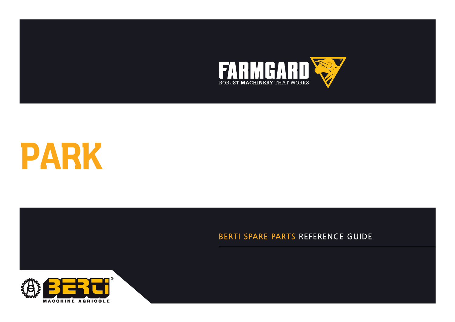



**CATALOGUE DE PIECES DETACHEES**

## BERTI SPARE PARTS REFERENCE GUIDE

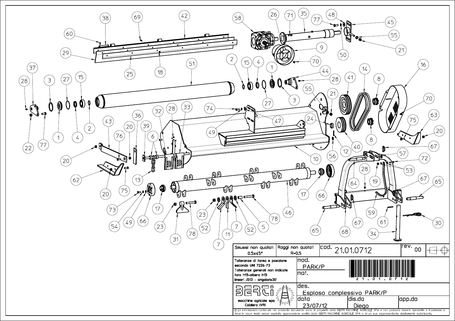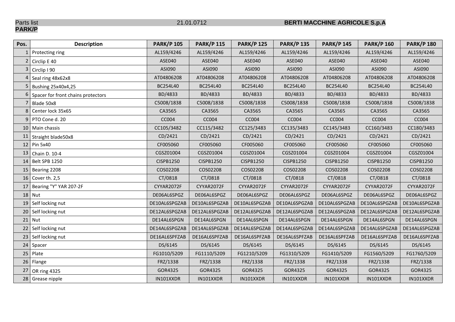Parts list<br>**PARK/P** 

## 21.01.0712 **BERTI MACCHINE AGRICOLE S.p.A**

| Pos.            | <b>Description</b>                 | <b>PARK/P 105</b> | <b>PARK/P 115</b> | <b>PARK/P 125</b> | <b>PARK/P 135</b> | <b>PARK/P 145</b> | <b>PARK/P 160</b> | <b>PARK/P 180</b> |
|-----------------|------------------------------------|-------------------|-------------------|-------------------|-------------------|-------------------|-------------------|-------------------|
|                 | 1 Protecting ring                  | AL159/4246        | AL159/4246        | AL159/4246        | AL159/4246        | AL159/4246        | AL159/4246        | AL159/4246        |
|                 | Circlip E 40                       | ASE040            | ASE040            | ASE040            | ASE040            | ASE040            | ASE040            | ASE040            |
| 3               | Circlip I 90                       | ASI090            | ASI090            | ASI090            | ASI090            | ASI090            | ASI090            | ASI090            |
|                 | Seal ring 48x62x8                  | AT04806208        | AT04806208        | AT04806208        | AT04806208        | AT04806208        | AT04806208        | AT04806208        |
|                 | Bushing 25x40x4,25                 | BC254L40          | BC254L40          | BC254L40          | BC254L40          | BC254L40          | BC254L40          | BC254L40          |
| 6 <sup>1</sup>  | Spacer for front chains protectors | BD/4833           | BD/4833           | BD/4833           | BD/4833           | BD/4833           | BD/4833           | BD/4833           |
|                 | Blade 50x8                         | C5008/1838        | C5008/1838        | C5008/1838        | C5008/1838        | C5008/1838        | C5008/1838        | C5008/1838        |
| 8               | Center lock 35x65                  | CA3565            | CA3565            | CA3565            | CA3565            | CA3565            | CA3565            | CA3565            |
| 9               | PTO Cone d. 20                     | CC004             | CC004             | <b>CC004</b>      | CC004             | <b>CC004</b>      | CC004             | CC004             |
|                 | 10 Main chassis                    | CC105/3482        | CC115/3482        | CC125/3483        | CC135/3483        | CC145/3483        | CC160/3483        | CC180/3483        |
| 11              | Straight blade50x8                 | CD/2421           | CD/2421           | CD/2421           | CD/2421           | CD/2421           | CD/2421           | CD/2421           |
| 12              | Pin 5x40                           | CF005060          | CF005060          | CF005060          | CF005060          | CF005060          | CF005060          | CF005060          |
|                 | 13 Chain D. 10-4                   | CGSZ01004         | CGSZ01004         | CGSZ01004         | CGSZ01004         | CGSZ01004         | CGSZ01004         | CGSZ01004         |
| 14              | Belt SPB 1250                      | <b>CISPB1250</b>  | CISPB1250         | <b>CISPB1250</b>  | CISPB1250         | <b>CISPB1250</b>  | <b>CISPB1250</b>  | <b>CISPB1250</b>  |
| 15              | Bearing 2208                       | COS02208          | COS02208          | COS02208          | COS02208          | COS02208          | COS02208          | COS02208          |
|                 | 16 Cover th. 2,5                   | CT/0818           | CT/0818           | CT/0818           | CT/0818           | CT/0818           | CT/0818           | CT/0818           |
| 17              | Bearing "Y" YAR 207-2F             | CYYAR2072F        | CYYAR2072F        | CYYAR2072F        | CYYAR2072F        | CYYAR2072F        | CYYAR2072F        | CYYAR2072F        |
| 18              | Nut                                | DE06AL6SPGZ       | DE06AL6SPGZ       | DE06AL6SPGZ       | DE06AL6SPGZ       | DE06AL6SPGZ       | DE06AL6SPGZ       | DE06AL6SPGZ       |
| 19              | Self locking nut                   | DE10AL6SPGZAB     | DE10AL6SPGZAB     | DE10AL6SPGZAB     | DE10AL6SPGZAB     | DE10AL6SPGZAB     | DE10AL6SPGZAB     | DE10AL6SPGZAB     |
| 20 <sub>1</sub> | Self locking nut                   | DE12AL6SPGZAB     | DE12AL6SPGZAB     | DE12AL6SPGZAB     | DE12AL6SPGZAB     | DE12AL6SPGZAB     | DE12AL6SPGZAB     | DE12AL6SPGZAB     |
| 21              | Nut                                | DE14AL6SPGN       | DE14AL6SPGN       | DE14AL6SPGN       | DE14AL6SPGN       | DE14AL6SPGN       | DE14AL6SPGN       | DE14AL6SPGN       |
| 22              | Self locking nut                   | DE14AL6SPGZAB     | DE14AL6SPGZAB     | DE14AL6SPGZAB     | DE14AL6SPGZAB     | DE14AL6SPGZAB     | DE14AL6SPGZAB     | DE14AL6SPGZAB     |
| 23              | Self locking nut                   | DE16AL6SPFZAB     | DE16AL6SPFZAB     | DE16AL6SPFZAB     | DE16AL6SPFZAB     | DE16AL6SPFZAB     | DE16AL6SPFZAB     | DE16AL6SPFZAB     |
| 24              | Spacer                             | DS/6145           | DS/6145           | DS/6145           | DS/6145           | DS/6145           | DS/6145           | DS/6145           |
| 25              | Plate                              | FG1010/5209       | FG1110/5209       | FG1210/5209       | FG1310/5209       | FG1410/5209       | FG1560/5209       | FG1760/5209       |
| 26              | Flange                             | FRZ/1338          | FRZ/1338          | FRZ/1338          | FRZ/1338          | FRZ/1338          | FRZ/1338          | FRZ/1338          |
| 27              | <b>OR ring 4325</b>                | GOR4325           | GOR4325           | GOR4325           | GOR4325           | GOR4325           | GOR4325           | GOR4325           |
|                 | 28 Grease nipple                   | IN101XXDR         | IN101XXDR         | IN101XXDR         | IN101XXDR         | IN101XXDR         | IN101XXDR         | IN101XXDR         |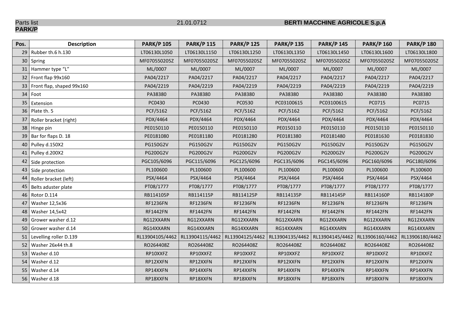Parts list<br>**PARK/P** 

## 21.01.0712 **BERTI MACCHINE AGRICOLE S.p.A**

| Pos.            | <b>Description</b>        | <b>PARK/P 105</b> | <b>PARK/P 115</b> | <b>PARK/P 125</b> | <b>PARK/P 135</b> | <b>PARK/P 145</b>                 | <b>PARK/P 160</b> | <b>PARK/P 180</b> |
|-----------------|---------------------------|-------------------|-------------------|-------------------|-------------------|-----------------------------------|-------------------|-------------------|
|                 | 29 Rubber th.6 h.130      | LT06130L1050      | LT06130L1150      | LT06130L1250      | LT06130L1350      | LT06130L1450                      | LT06130L1600      | LT06130L1800      |
| 30 <sup>°</sup> | Spring                    | MF070550205Z      | MF070550205Z      | MF070550205Z      | MF070550205Z      | MF070550205Z                      | MF070550205Z      | MF070550205Z      |
|                 | 31 Hammer type "L"        | ML/0007           | ML/0007           | ML/0007           | ML/0007           | ML/0007                           | ML/0007           | ML/0007           |
|                 | 32 Front flap 99x160      | PA04/2217         | PA04/2217         | PA04/2217         | PA04/2217         | PA04/2217                         | PA04/2217         | PA04/2217         |
| 33              | Front flap, shaped 99x160 | PA04/2219         | PA04/2219         | PA04/2219         | PA04/2219         | PA04/2219                         | PA04/2219         | PA04/2219         |
| 34              | Foot                      | PA38380           | PA38380           | PA38380           | PA38380           | PA38380                           | PA38380           | PA38380           |
| 35              | Extension                 | PC0430            | PC0430            | PC0530            | PC03100615        | PC03100615                        | PC0715            | PC0715            |
|                 | 36 Plate th. 5            | PCF/5162          | PCF/5162          | PCF/5162          | PCF/5162          | PCF/5162                          | PCF/5162          | PCF/5162          |
| 37              | Roller bracket (right)    | PDX/4464          | PDX/4464          | PDX/4464          | PDX/4464          | PDX/4464                          | PDX/4464          | PDX/4464          |
| 38              | Hinge pin                 | PE0150110         | PE0150110         | PE0150110         | PE0150110         | PE0150110                         | PE0150110         | PE0150110         |
|                 | 39 Bar for flaps D. 18    | PE0181080         | PE0181180         | PE0181280         | PE0181380         | PE0181480                         | PE0181630         | PE0181830         |
| 40              | Pulley d.150X2            | <b>PG150G2V</b>   | PG150G2V          | PG150G2V          | PG150G2V          | PG150G2V                          | PG150G2V          | PG150G2V          |
|                 | 41 Pulley d.200X2         | <b>PG200G2V</b>   | PG200G2V          | PG200G2V          | PG200G2V          | PG200G2V                          | PG200G2V          | PG200G2V          |
|                 | 42 Side protection        | PGC105/6096       | PGC115/6096       | PGC125/6096       | PGC135/6096       | PGC145/6096                       | PGC160/6096       | PGC180/6096       |
| 43              | Side protection           | PL100600          | PL100600          | PL100600          | PL100600          | PL100600                          | PL100600          | PL100600          |
| 44              | Roller bracket (left)     | PSX/4464          | PSX/4464          | PSX/4464          | PSX/4464          | PSX/4464                          | PSX/4464          | PSX/4464          |
| 45              | Belts aduster plate       | PT08/1777         | PT08/1777         | PT08/1777         | PT08/1777         | PT08/1777                         | PT08/1777         | PT08/1777         |
| 46              | Rotor D.114               | RB114105P         | RB114115P         | RB114125P         | RB114135P         | RB114145P                         | RB114160P         | RB114180P         |
| 47              | Washer 12,5x36            | <b>RF1236FN</b>   | <b>RF1236FN</b>   | <b>RF1236FN</b>   | <b>RF1236FN</b>   | <b>RF1236FN</b>                   | <b>RF1236FN</b>   | <b>RF1236FN</b>   |
|                 | 48   Washer 14,5x42       | <b>RF1442FN</b>   | <b>RF1442FN</b>   | <b>RF1442FN</b>   | <b>RF1442FN</b>   | <b>RF1442FN</b>                   | <b>RF1442FN</b>   | <b>RF1442FN</b>   |
| 49              | Grower washer d.12        | RG12XXARN         | RG12XXARN         | RG12XXARN         | RG12XXARN         | RG12XXARN                         | RG12XXARN         | RG12XXARN         |
| 50              | Grower washer d.14        | RG14XXARN         | RG14XXARN         | RG14XXARN         | RG14XXARN         | RG14XXARN                         | RG14XXARN         | RG14XXARN         |
| 51              | Levelling roller D.139    | RL13904105/4462   | RL13904115/4462   | RL13904125/4462   |                   | RL13904135/4462   RL13904145/4462 | RL13906160/4462   | RL13906180/4462   |
| 52              | Washer 26x44 th.8         | RO264408Z         | RO264408Z         | RO264408Z         | RO264408Z         | RO264408Z                         | RO264408Z         | RO264408Z         |
| 53              | Washer d.10               | RP10XXFZ          | RP10XXFZ          | RP10XXFZ          | RP10XXFZ          | RP10XXFZ                          | RP10XXFZ          | RP10XXFZ          |
| 54              | Washer d.12               | RP12XXFN          | RP12XXFN          | RP12XXFN          | RP12XXFN          | RP12XXFN                          | RP12XXFN          | RP12XXFN          |
| 55              | Washer d.14               | RP14XXFN          | RP14XXFN          | RP14XXFN          | RP14XXFN          | RP14XXFN                          | RP14XXFN          | RP14XXFN          |
|                 | 56 Washer d.18            | RP18XXFN          | RP18XXFN          | RP18XXFN          | RP18XXFN          | RP18XXFN                          | RP18XXFN          | RP18XXFN          |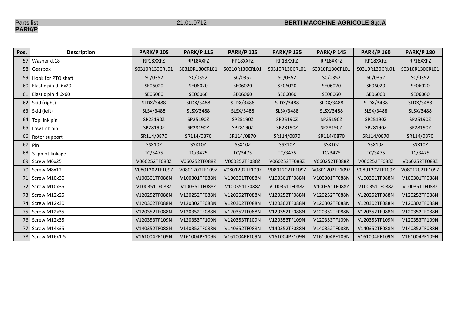Parts list<br>**PARK/P** 

| Pos.            | <b>Description</b>    | <b>PARK/P 105</b> | <b>PARK/P 115</b> | <b>PARK/P 125</b> | <b>PARK/P 135</b> | <b>PARK/P 145</b> | <b>PARK/P 160</b> | <b>PARK/P 180</b> |
|-----------------|-----------------------|-------------------|-------------------|-------------------|-------------------|-------------------|-------------------|-------------------|
| 57              | Washer d.18           | RP18XXFZ          | RP18XXFZ          | RP18XXFZ          | RP18XXFZ          | RP18XXFZ          | RP18XXFZ          | RP18XXFZ          |
| 58 <sup>1</sup> | Gearbox               | S0310R130CRL01    | S0310R130CRL01    | S0310R130CRL01    | S0310R130CRL01    | S0310R130CRL01    | S0310R130CRL01    | S0310R130CRL01    |
| 59              | Hook for PTO shaft    | SC/0352           | SC/0352           | SC/0352           | SC/0352           | SC/0352           | SC/0352           | SC/0352           |
| 60              | Elastic pin d. 6x20   | SE06020           | SE06020           | SE06020           | SE06020           | SE06020           | SE06020           | SE06020           |
|                 | 61 Elastic pin d.6x60 | SE06060           | SE06060           | SE06060           | SE06060           | SE06060           | SE06060           | SE06060           |
|                 | 62 Skid (right)       | SLDX/3488         | SLDX/3488         | SLDX/3488         | SLDX/3488         | SLDX/3488         | SLDX/3488         | SLDX/3488         |
|                 | 63 Skid (left)        | SLSX/3488         | SLSX/3488         | SLSX/3488         | SLSX/3488         | SLSX/3488         | SLSX/3488         | SLSX/3488         |
|                 | 64 Top link pin       | SP25190Z          | SP25190Z          | SP25190Z          | SP25190Z          | SP25190Z          | SP25190Z          | SP25190Z          |
| 65              | Low link pin          | SP28190Z          | SP28190Z          | SP28190Z          | SP28190Z          | SP28190Z          | SP28190Z          | SP28190Z          |
|                 | 66 Rotor support      | SR114/0870        | SR114/0870        | SR114/0870        | SR114/0870        | SR114/0870        | SR114/0870        | SR114/0870        |
| 67              | Pin                   | SSX10Z            | SSX10Z            | SSX10Z            | SSX10Z            | <b>SSX10Z</b>     | <b>SSX10Z</b>     | <b>SSX10Z</b>     |
|                 | 68 3- point linkage   | TC/3475           | TC/3475           | TC/3475           | TC/3475           | TC/3475           | TC/3475           | TC/3475           |
|                 | 69 Screw M6x25        | V060252TF088Z     | V060252TF088Z     | V060252TF088Z     | V060252TF088Z     | V060252TF088Z     | V060252TF088Z     | V060252TF088Z     |
|                 | 70 Screw M8x12        | V0801202TF109Z    | V0801202TF109Z    | V0801202TF109Z    | V0801202TF109Z    | V0801202TF109Z    | V0801202TF109Z    | V0801202TF109Z    |
|                 | 71   Screw M10x30     | V100301TF088N     | V100301TF088N     | V100301TF088N     | V100301TF088N     | V100301TF088N     | V100301TF088N     | V100301TF088N     |
|                 | 72 Screw M10x35       | V100351TF088Z     | V100351TF088Z     | V100351TF088Z     | V100351TF088Z     | V100351TF088Z     | V100351TF088Z     | V100351TF088Z     |
|                 | 73   Screw M12x25     | V120252TF088N     | V120252TF088N     | V120252TF088N     | V120252TF088N     | V120252TF088N     | V120252TF088N     | V120252TF088N     |
| 74              | Screw M12x30          | V120302TF088N     | V120302TF088N     | V120302TF088N     | V120302TF088N     | V120302TF088N     | V120302TF088N     | V120302TF088N     |
|                 | 75   Screw M12x35     | V120352TF088N     | V120352TF088N     | V120352TF088N     | V120352TF088N     | V120352TF088N     | V120352TF088N     | V120352TF088N     |
|                 | 76   Screw M12x35     | V120353TF109N     | V120353TF109N     | V120353TF109N     | V120353TF109N     | V120353TF109N     | V120353TF109N     | V120353TF109N     |
| 77              | Screw M14x35          | V140352TF088N     | V140352TF088N     | V140352TF088N     | V140352TF088N     | V140352TF088N     | V140352TF088N     | V140352TF088N     |
|                 | 78   Screw M16x1.5    | V161004PF109N     | V161004PF109N     | V161004PF109N     | V161004PF109N     | V161004PF109N     | V161004PF109N     | V161004PF109N     |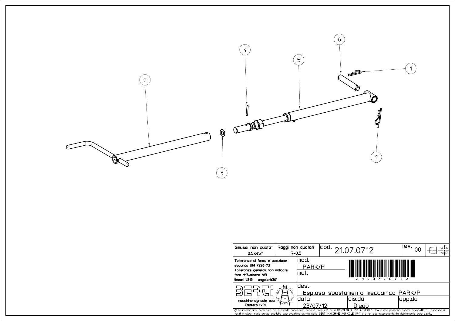

| Smussi non quotati Raggi non quotati<br>0.5x45°                                                                                                                                                                                                                                                        | $R = 0.5$ |                                                  | $\vert$ cod. 21.07.0712 |                                      | lrev. |  |  |
|--------------------------------------------------------------------------------------------------------------------------------------------------------------------------------------------------------------------------------------------------------------------------------------------------------|-----------|--------------------------------------------------|-------------------------|--------------------------------------|-------|--|--|
| Tolleranze di forma e posizione<br>secondo UNI 7226-73<br>Tolleranze generali non indicate<br>foro H13-albero h13<br>lineari JS13 - angolari±30'                                                                                                                                                       |           | lmod.<br>PARK/P<br>lmat.<br>n<br>n               |                         |                                      |       |  |  |
| macchine agricole spa<br>Caldiero (VR)                                                                                                                                                                                                                                                                 |           | ldes.                                            |                         | Esploso spostamento meccanico PARK/P |       |  |  |
|                                                                                                                                                                                                                                                                                                        |           | ldis.da<br>ldata<br>japp.da<br>23/07/12<br>Dieao |                         |                                      |       |  |  |
| © Le informazioni contenute nel presente documento sono di proprietà della BERTI MACCHINE AGRICOLE SPA e non possono essere riprodotte o trasmesse a<br>terzi in alcun modo senza esplicita approvazione scritta della BERTI MACCHINE AGRICOLE SPA o di un suo rappresentante debitamente autorizzato. |           |                                                  |                         |                                      |       |  |  |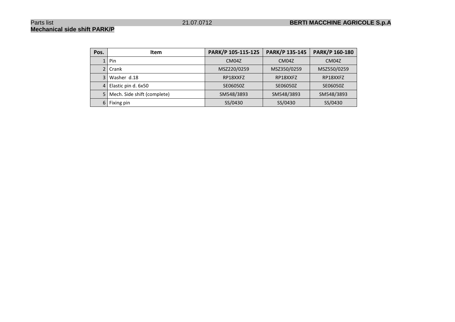# **Mechanical side shift PARK/P**

| Pos.           | <b>Item</b>                 | PARK/P 105-115-125 | PARK/P 135-145 | PARK/P 160-180 |
|----------------|-----------------------------|--------------------|----------------|----------------|
| 1 <sub>1</sub> | Pin                         | CM04Z              | CM04Z          | CM04Z          |
| $\overline{2}$ | Crank                       | MSZ220/0259        | MSZ350/0259    | MSZ550/0259    |
| 3              | Washer d.18                 | RP18XXFZ           | RP18XXFZ       | RP18XXFZ       |
| 4              | Elastic pin d. 6x50         | SE06050Z           | SE06050Z       | SE06050Z       |
| 5              | Mech. Side shift (complete) | SM548/3893         | SM548/3893     | SM548/3893     |
| 6              | Fixing pin                  | SS/0430            | SS/0430        | SS/0430        |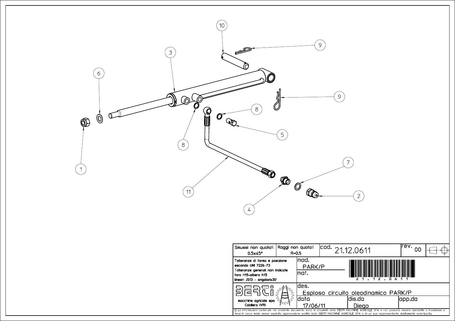

| Smussi non quotati<br>$0.5\times 45^\circ$                                                                                                                                                                                                                                                               | Raggi non guotati<br>$R = 0.5$ |                                               | lcod.<br>21.12.0611 |                                      | irev.<br>იი |  |  |
|----------------------------------------------------------------------------------------------------------------------------------------------------------------------------------------------------------------------------------------------------------------------------------------------------------|--------------------------------|-----------------------------------------------|---------------------|--------------------------------------|-------------|--|--|
| Tolleranze di forma e posizione<br>secondo UNI 7226-73<br>Tolleranze generali non indicate<br>foro H13-albero h13<br>  lineari JS13 − angolari±30'                                                                                                                                                       |                                | lmod.<br>PARK/P<br>lmat.                      |                     |                                      |             |  |  |
| macchine agricole spa<br>Caldiero (VR)                                                                                                                                                                                                                                                                   |                                | ldes.                                         |                     | Esploso circuito oleodinamico PARK/P |             |  |  |
|                                                                                                                                                                                                                                                                                                          |                                | ldis.da<br>ldata<br>app.da<br>Dieao<br>106/11 |                     |                                      |             |  |  |
| © Le informazioni contenute nel presente documento sono di proprietà della BERTI MACCHINE AGRICOLE SPA e non possono essere riprodotte o trasmesse a<br>l terzi in alcun modo senza esplicita approvazione scritta della BERTI MACCHINE AGRICOLE SPA o di un suo rappresentante debitamente autorizzato. |                                |                                               |                     |                                      |             |  |  |